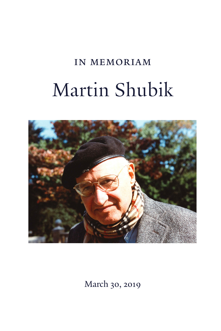# in memoriam Martin Shubik



March 30, 2019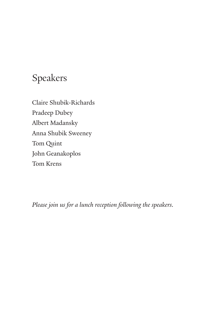## Speakers

Claire Shubik-Richards Pradeep Dubey Albert Madansky Anna Shubik Sweeney Tom Quint John Geanakoplos Tom Krens

*Please join us for a lunch reception following the speakers.*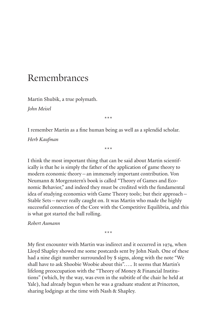### Remembrances

Martin Shubik, a true polymath.

*John Meisel*

\*\*\*

I remember Martin as a fine human being as well as a splendid scholar. *Herb Kaufman*

\*\*\*

I think the most important thing that can be said about Martin scientifically is that he is simply the father of the application of game theory to modern economic theory—an immensely important contribution. Von Neumann & Morgenstern's book is called "Theory of Games and Economic Behavior," and indeed they must be credited with the fundamental idea of studying economics with Game Theory tools; but their approach— Stable Sets—never really caught on. It was Martin who made the highly successful connection of the Core with the Competitive Equilibria, and this is what got started the ball rolling.

*Robert Aumann*

My first encounter with Martin was indirect and it occurred in 1974, when Lloyd Shapley showed me some postcards sent by John Nash. One of these had a nine digit number surrounded by \$ signs, along with the note "We shall have to ask Shoobie Woobie about this"….. It seems that Martin's lifelong preoccupation with the "Theory of Money & Financial Institutions" (which, by the way, was even in the subtitle of the chair he held at Yale), had already begun when he was a graduate student at Princeton, sharing lodgings at the time with Nash & Shapley.

\*\*\*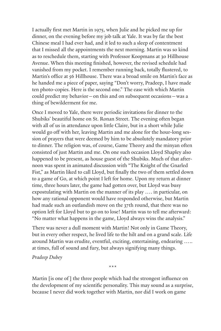I actually first met Martin in 1975, when Julie and he picked me up for dinner, on the evening before my job talk at Yale. It was by far the best Chinese meal I had ever had, and it led to such a sleep of contentment that I missed all the appointments the next morning. Martin was so kind as to reschedule them, starting with Professor Koopmans at 30 Hillhouse Avenue. When this meeting finished, however, the revised schedule had vanished from my pocket. I remember running back, totally flustered, to Martin's office at 56 Hillhouse. There was a broad smile on Martin's face as he handed me a piece of paper, saying "Don't worry, Pradeep, I have made ten photo-copies. Here is the second one." The ease with which Martin could predict my behavior—on this and on subsequent occasions—was a thing of bewilderment for me.

Once I moved to Yale, there were periodic invitations for dinner to the Shubiks' beautiful home on St. Ronan Street. The evening often began with all of us in attendance upon little Claire, but in a short while Julie would go off with her, leaving Martin and me alone for the hour-long session of prayers that were deemed by him to be absolutely mandatory prior to dinner. The religion was, of course, Game Theory and the minyan often consisted of just Martin and me. On one such occasion Lloyd Shapley also happened to be present, as house guest of the Shubiks. Much of that afternoon was spent in animated discussion with "The Knight of the Gnarled Fist," as Martin liked to call Lloyd, but finally the two of them settled down to a game of Go, at which point I left for home. Upon my return at dinner time, three hours later, the game had gotten over, but Lloyd was busy expostulating with Martin on the manner of its play …. in particular, on how any rational opponent would have responded otherwise, but Martin had made such an outlandish move on the 37th round, that there was no option left for Lloyd but to go on to lose! Martin was to tell me afterward: "No matter what happens in the game, Lloyd always wins the analysis."

There was never a dull moment with Martin! Not only in Game Theory, but in every other respect, he lived life to the hilt and on a grand scale. Life around Martin was erudite, eventful, exciting, entertaining, endearing ….. at times, full of sound and fury, but always signifying many things.

*Pradeep Dubey*

Martin [is one of ] the three people which had the strongest influence on the development of my scientific personality. This may sound as a surprise, because I never did work together with Martin, nor did I work on game

\*\*\*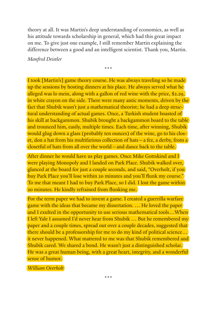theory at all. It was Martin's deep understanding of economics, as well as his attitude towards scholarship in general, which had this great impact on me. To give just one example, I still remember Martin explaining the difference between a good and an intelligent scientist. Thank you, Martin.

\*\*\*

*Manfred Deistler*

I took [Martin's] game theory course. He was always traveling so he made up the sessions by hosting dinners at his place. He always served what he alleged was lo mein, along with a gallon of red wine with the price, \$2.29, in white crayon on the side. There were many antic moments, driven by the fact that Shubik wasn't just a mathematical theorist; he had a deep structural understanding of actual games. Once, a Turkish student boasted of his skill at backgammon. Shubik brought a backgammon board to the table and trounced him, easily, multiple times. Each time, after winning, Shubik would glug down a glass (probably ten ounces) of the wine, go to his closet, don a hat from his multifarious collection of hats—a fez, a derby, from a closetful of hats from all over the world—and dance back to the table.

After dinner he would have us play games. Once Mike Gottskind and I were playing Monopoly and I landed on Park Place. Shubik walked over, glanced at the board for just a couple seconds, and said, "Overholt, if you buy Park Place you'll lose within 20 minutes and you'll flunk my course." To me that meant I had to buy Park Place, so I did. I lost the game within 20 minutes. He kindly refrained from flunking me.

For the term paper we had to invent a game. I created a guerrilla warfare game with the ideas that became my dissertation. … He loved the paper and I exulted in the opportunity to use serious mathematical tools…When I left Yale I assumed I'd never hear from Shubik … But he remembered my paper and a couple times, spread out over a couple decades, suggested that there should be a professorship for me to do my kind of political science… it never happened. What mattered to me was that Shubik remembered and Shubik cared. We shared a bond. He wasn't just a distinguished scholar. He was a great human being, with a great heart, integrity, and a wonderful sense of humor.

*William Overholt*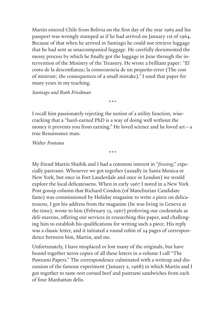Martin entered Chile from Bolivia on the first day of the year 1965 and his passport was wrongly stamped as if he had arrived on January 1st of 1964. Because of that when he arrived in Santiago he could not retrieve luggage that he had sent as unaccompanied luggage. He carefully documented the messy process by which he finally got the luggage in June through the intervention of the Ministry of the Treasury. He wrote a brilliant paper: "El costo de la desconfianza; la consecuencia de un pequeño error (The cost of mistrust; the consequences of a small mistake)." I used that paper for many years in my teaching.

*Santiago and Ruth Friedman*

I recall him passionately rejecting the notion of a utility function, wisecracking that a "hard-earned PhD is a way of doing well without the money it prevents you from earning." He loved science and he loved art—a true Renaissance man.

\*\*\*

\*\*\*

*Walter Fontana*

My friend Martin Shubik and I had a common interest in "*fressing*," especially pastrami. Whenever we got together (usually in Santa Monica or New York, but once in Fort Lauderdale and once in London) we would explore the local delicatessens. When in early 1967 I noted in a New York Post gossip column that Richard Condon (of Manchurian Candidate fame) was commissioned by Holiday magazine to write a piece on delicatessens, I got his address from the magazine (he was living in Geneva at the time), wrote to him (February 13, 1967) proferring our credentials as deli-mavens, offering our services in researching this paper, and challenging him to establish his qualifications for writing such a piece. His reply was a classic letter, and it initiated a round robin of 24 pages of correspondence between him, Martin, and me.

Unfortunately, I have misplaced or lost many of the originals, but have bound together xerox copies of all these letters in a volume I call "The Pastrami Papers." The correspondence culminated with a writeup and discussion of the famous experiment (January 2, 1968) in which Martin and I got together to taste-test corned beef and pastrami sandwiches from each of four Manhattan delis.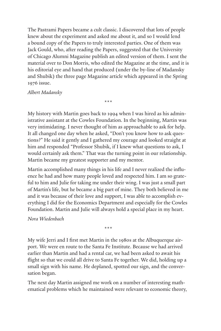The Pastrami Papers became a cult classic. I discovered that lots of people knew about the experiment and asked me about it, and so I would lend a bound copy of the Papers to truly interested parties. One of them was Jack Gould, who, after reading the Papers, suggested that the University of Chicago Alumni Magazine publish an edited version of them. I sent the material over to Don Morris, who edited the Magazine at the time, and it is his editorial eye and hand that produced (under the by-line of Madansky and Shubik) the three page Magazine article which appeared in the Spring 1976 issue.

#### *Albert Madansky*

My history with Martin goes back to 1994 when I was hired as his administrative assistant at the Cowles Foundation. In the beginning, Martin was very intimidating. I never thought of him as approachable to ask for help. It all changed one day when he asked, "Don't you know how to ask questions?" He said it gently and I gathered my courage and looked straight at him and responded "Professor Shubik, if I knew what questions to ask, I would certainly ask them." That was the turning point in our relationship. Martin became my greatest supporter and my mentor.

\*\*\*

Martin accomplished many things in his life and I never realized the influence he had and how many people loved and respected him. I am so grateful to him and Julie for taking me under their wing. I was just a small part of Martin's life, but he became a big part of mine. They both believed in me and it was because of their love and support, I was able to accomplish everything I did for the Economics Department and especially for the Cowles Foundation. Martin and Julie will always hold a special place in my heart.

*Nora Wiedenbach*

My wife Jerri and I first met Martin in the 1980s at the Albuquerque airport. We were en route to the Santa Fe Institute. Because we had arrived earlier than Martin and had a rental car, we had been asked to await his flight so that we could all drive to Santa Fe together. We did, holding up a small sign with his name. He deplaned, spotted our sign, and the conversation began.

\*\*\*

The next day Martin assigned me work on a number of interesting mathematical problems which he maintained were relevant to economic theory,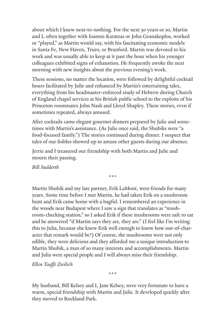about which I knew next-to-nothing. For the next 30 years or so, Martin and I, often together with Ioannis Karatzas or John Geanakoplos, worked or "played," as Martin would say, with his fascinating economic models in Santa Fe, New Haven, Truro, or Branford. Martin was devoted to his work and was usually able to keep at it past the hour when his younger colleagues exhibited signs of exhaustion. He frequently awoke the next morning with new insights about the previous evening's work.

These sessions, no matter the location, were followed by delightful cocktail hours facilitated by Julie and enhanced by Martin's entertaining tales, everything from his headmaster-enforced study of Hebrew during Church of England chapel services at his British public school to the exploits of his Princeton roommates John Nash and Lloyd Shapley. These stories, even if sometimes repeated, always amused.

After cocktails came elegant gourmet dinners prepared by Julie and sometimes with Martin's assistance. (As Julie once said, the Shubiks were "a food-focused family.") The stories continued during dinner. I suspect that tales of our foibles showed up to amuse other guests during our absence.

\*\*\*

Jerrie and I treasured our friendship with both Martin and Julie and mourn their passing.

*Bill Sudderth*

Martin Shubik and my late partner, Erik LaMont, were friends for many years. Some time before I met Martin, he had taken Erik on a mushroom hunt and Erik came home with a bagful. I remembered an experience in the woods near Budapest where I saw a sign that translates as "mushroom-checking station," so I asked Erik if these mushrooms were safe to eat and he answered "if Martin says they are, they are." (I feel like I'm writing this to Julia, because she knew Erik well enough to know how out-of-character that remark would be!) Of course, the mushrooms were not only edible, they were delicious and they afforded me a unique introduction to Martin Shubik, a man of so many interests and accomplishments. Martin and Julia were special people and I will always miss their friendship.

*Ellen Taaffe Zwilich*

My husband, Bill Kelsey and I, Jane Kelsey, were very fortunate to have a warm, special friendship with Martin and Julie. It developed quickly after they moved to Rockland Park.

\*\*\*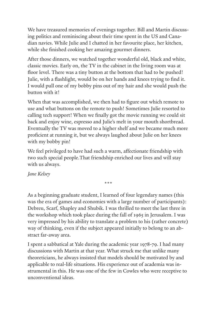We have treasured memories of evenings together. Bill and Martin discussing politics and reminiscing about their time spent in the US and Canadian navies. While Julie and I chatted in her favourite place, her kitchen, while she finished cooking her amazing gourmet dinners.

After those dinners, we watched together wonderful old, black and white, classic movies. Early on, the TV in the cabinet in the living room was at floor level. There was a tiny button at the bottom that had to be pushed! Julie, with a flashlight, would be on her hands and knees trying to find it. I would pull one of my bobby pins out of my hair and she would push the button with it!

When that was accomplished, we then had to figure out which remote to use and what buttons on the remote to push! Sometimes Julie resorted to calling tech support! When we finally got the movie running we could sit back and enjoy wine, espresso and Julie's melt in your mouth shortbread. Eventually the TV was moved to a higher shelf and we became much more proficient at running it, but we always laughed about Julie on her knees with my bobby pin!

We feel privileged to have had such a warm, affectionate friendship with two such special people.That friendship enriched our lives and will stay with us always.

*Jane Kelsey* 

\*\*\*

As a beginning graduate student, I learned of four legendary names (this was the era of games and economies with a large number of participants): Debreu, Scarf, Shapley and Shubik. I was thrilled to meet the last three in the workshop which took place during the fall of 1965 in Jerusalem. I was very impressed by his ability to translate a problem to his (rather concrete) way of thinking, even if the subject appeared initially to belong to an abstract far-away area.

I spent a sabbatical at Yale during the academic year 1978-79. I had many discussions with Martin at that year. What struck me that unlike many theoreticians, he always insisted that models should be motivated by and applicable to real-life situations. His experience out of academia was instrumental in this. He was one of the few in Cowles who were receptive to unconventional ideas.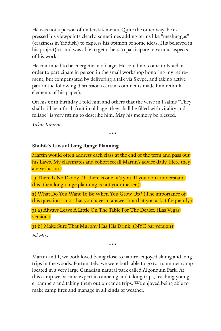He was not a person of understatements. Quite the other way, he expressed his viewpoints clearly, sometimes adding terms like "meshuggas" (craziness in Yiddish) to express his opinion of some ideas. His believed in his project(s), and was able to get others to participate in various aspects of his work.

He continued to be energetic in old age. He could not come to Israel in order to participate in person in the small workshop honoring my retirement, but compensated by delivering a talk via Skype, and taking active part in the following discussion (certain comments made him rethink elements of his paper).

On his 90th birthday I told him and others that the verse in Psalms "They shall still bear forth fruit in old age; they shall be filled with vitality and foliage" is very fitting to describe him. May his memory be blessed.

*Yakar Kannai*

\*\*\*

#### **Shubik's Laws of Long Range Planning**

Martin would often address each class at the end of the term and pass out his Laws. My classmates and cohort recall Martin's advice daily. Here they are verbatim:

1) There Is No Daddy. (If there is one, it's you. If you don't understand this, then long range planning is not your metier.)

2) What Do You Want To Be When You Grow Up? (The importance of this question is not that you have an answer but that you ask it frequently)

3) a) Always Leave A Little On The Table For The Dealer. (Las Vegas version)

3) b) Make Sure That Murphy Has His Drink. (NYC bar version)

*Ed Hirs*

\*\*\*

Martin and I, we both loved being close to nature, enjoyed skiing and long trips in the woods. Fortunately, we were both able to go to a summer camp located in a very large Canadian natural park called Algonquin Park. At this camp we became expert in canoeing and taking trips, teaching younger campers and taking them out on canoe trips. We enjoyed being able to make camp fires and manage in all kinds of weather.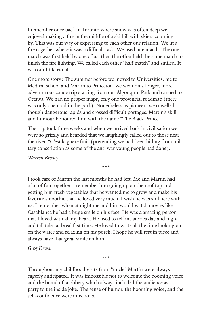I remember once back in Toronto where snow was often deep we enjoyed making a fire in the middle of a ski hill with skiers zooming by. This was our way of expressing to each other our relation. We lit a fire together where it was a difficult task. We used one match. The one match was first held by one of us, then the other held the same match to finish the fire lighting. We called each other "half match" and smiled. It was our little ritual.

One more story: The summer before we moved to Universities, me to Medical school and Martin to Princeton, we went on a longer, more adventurous canoe trip starting from our Algonquin Park and canoed to Ottawa. We had no proper maps, only one provincial roadmap (there was only one road in the park). Nonetheless as pioneers we travelled though dangerous rapids and crossed difficult portages. Martin's skill and humour honoured him with the name "The Black Prince."

The trip took three weeks and when we arrived back in civilisation we were so grizzly and bearded that we laughingly called out to those near the river, "C'est la guere fini" (pretending we had been hiding from military conscription as some of the anti war young people had done).

*Warren Brodey*

\*\*\*

I took care of Martin the last months he had left. Me and Martin had a lot of fun together. I remember him going up on the roof top and getting him fresh vegetables that he wanted me to grow and make his favorite smoothie that he loved very much. I wish he was still here with us. I remember when at night me and him would watch movies like Casablanca he had a huge smile on his face. He was a amazing person that I loved with all my heart. He used to tell me stories day and night and tall tales at breakfast time. He loved to write all the time looking out on the water and relaxing on his porch. I hope he will rest in piece and always have that great smile on him.

*Greg Drwal*

\*\*\*

Throughout my childhood visits from "uncle" Martin were always eagerly anticipated. It was impossible not to welcome the booming voice and the brand of snobbery which always included the audience as a party to the inside joke. The sense of humor, the booming voice, and the self-confidence were infectious.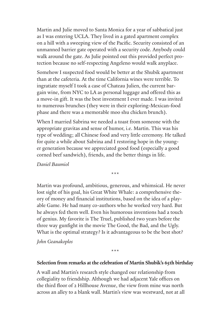Martin and Julie moved to Santa Monica for a year of sabbatical just as I was entering UCLA. They lived in a gated apartment complex on a hill with a sweeping view of the Pacific. Security consisted of an unmanned barrier gate operated with a security code. Anybody could walk around the gate. As Julie pointed out this provided perfect protection because no self-respecting Angeleno would walk anyplace.

Somehow I suspected food would be better at the Shubik apartment than at the cafeteria. At the time California wines were terrible. To ingratiate myself I took a case of Chateau Julien, the current bargain wine, from NYC to LA as personal luggage and offered this as a move-in gift. It was the best investment I ever made. I was invited to numerous brunches (they were in their exploring-Mexican-food phase and there was a memorable moo shu chicken brunch).

When I married Sabrina we needed a toast from someone with the appropriate gravitas and sense of humor, i.e. Martin. This was his type of wedding; all Chinese food and very little ceremony. He talked for quite a while about Sabrina and I restoring hope in the younger generation because we appreciated good food (especially a good corned beef sandwich), friends, and the better things in life.

*Daniel Baumiol*

\*\*\*

Martin was profound, ambitious, generous, and whimsical. He never lost sight of his goal, his Great White Whale: a comprehensive theory of money and financial institutions, based on the idea of a playable Game. He had many co-authors who he worked very hard. But he always fed them well. Even his humorous inventions had a touch of genius. My favorite is The Truel, published two years before the three way gunfight in the movie The Good, the Bad, and the Ugly. What is the optimal strategy? Is it advantageous to be the best shot?

#### *John Geanakoplos*

\*\*\*

#### **Selection from remarks at the celebration of Martin Shubik's 65th birthday**

A wall and Martin's research style changed our relationship from collegiality to friendship. Although we had adjacent Yale offices on the third floor of 2 Hillhouse Avenue, the view from mine was north across an alley to a blank wall. Martin's view was westward, not at all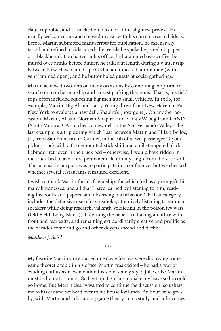claustrophobic, and I knocked on his door at the slightest pretext. He usually welcomed me and chewed my ear with his current research ideas. Before Martin submitted manuscripts for publication, he extensively tested and refined his ideas verbally. While he spoke he jotted on paper or a blackboard. He chatted in his office, he harangued over coffee, he mused over drinks before dinner, he talked at length during a winter trip between New Haven and Cape Cod in an unheated automobile (with vent jammed open), and he buttonholed guests at social gatherings.

Martin achieved two-fers on many occasions by combining empirical research on trenchermanship and closest packing theorems. That is, his field trips often included squeezing big men into small vehicles. In 1966, for example, Martin, Big Al, and Larry Young drove from New Haven to East New York to evaluate a new deli, Shapiro's (now gone). On another occasion, Martin, Al, and Norman Shapiro drove in a VW bug from RAND (Santa Monica, CA) to check a new deli in the San Fernando Valley. The last example is a trip during which I sat between Martin and Hilare Belloc, Jr., from San Francisco to Carmel, in the cab of a two-passenger Toyota pickup truck with a floor-mounted stick shift and an ill-tempered black Labrador retriever in the truck bed—otherwise, I would have ridden in the truck bed to avoid the permanent cleft in my thigh from the stick shift. The ostensible purpose was to participate in a conference; but we checked whether several restaurants remained excellent.

I wish to thank Martin for his friendship, for which he has a great gift, his many kindnesses, and all that I have learned by listening to him, reading his books and papers, and observing his behavior. The last category includes the defensive use of cigar smoke, attentively listening to seminar speakers while doing research, valiantly soldiering in the poison ivy wars (Old Field, Long Island), discerning the benefit of having an office with front and rear exits, and remaining extraordinarily creative and prolific as the decades come and go and other doyens ascend and decline.

*Matthew J. Sobel*

\*\*\*

My favorite Martin story started one day when we were discussing some game theoretic topic in his office. Martin was excited—he had a way of exuding enthusiasm even within his slow, stately style. Julie calls: Martin must be home for lunch. So I get up, figuring to make my leave so he could go home. But Martin clearly wanted to continue the discussion, so ushers me to his car and we head over to his house for lunch. An hour or so goes by, with Martin and I discussing game theory in his study, and Julie comes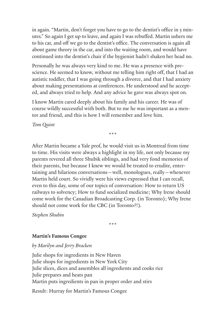in again. "Martin, don't forget you have to go to the dentist's office in 5 minutes." So again I get up to leave, and again I was rebuffed. Martin ushers me to his car, and off we go to the dentist's office. The conversation is again all about game theory in the car, and into the waiting room, and would have continued into the dentist's chair if the hygienist hadn't shaken her head no.

Personally he was always very kind to me. He was a presence with prescience. He seemed to know, without me telling him right off, that I had an autistic toddler, that I was going through a divorce, and that I had anxiety about making presentations at conferences. He understood and he accepted, and always tried to help. And any advice he gave was always spot on.

I know Martin cared deeply about his family and his career. He was of course wildly successful with both. But to me he was important as a mentor and friend, and this is how I will remember and love him.

*Tom Quint*

\*\*\*

After Martin became a Yale prof, he would visit us in Montreal from time to time. His visits were always a highlight in my life, not only because my parents revered all three Shubik siblings, and had very fond memories of their parents, but because I knew we would be treated to erudite, entertaining and hilarious conversations—well, monologues, really—whenever Martin held court. So vividly were his views expressed that I can recall, even to this day, some of our topics of conversation: How to return US railways to solvency; How to fund socialized medicine; Why Irene should come work for the Canadian Broadcasting Corp. (in Toronto); Why Irene should not come work for the CBC (in Toronto?!).

*Stephen Shubin*

\*\*\*

#### **Martin's Famous Congee**

#### *by Marilyn and Jerry Bracken*

Julie shops for ingredients in New Haven Julie shops for ingredients in New York City Julie slices, dices and assembles all ingredients and cooks rice Julie prepares and heats pan Martin puts ingredients in pan in proper order and stirs

Result: Hurray for Martin's Famous Congee